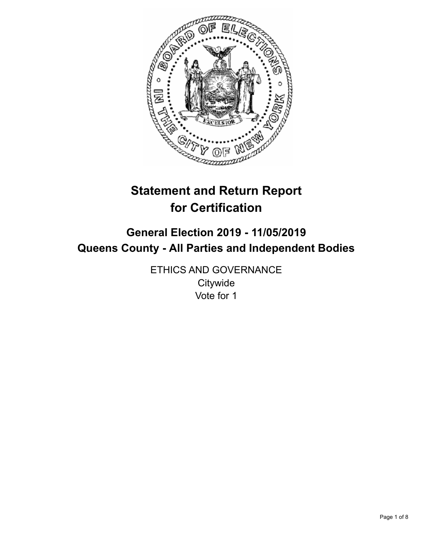

# **Statement and Return Report for Certification**

# **General Election 2019 - 11/05/2019 Queens County - All Parties and Independent Bodies**

ETHICS AND GOVERNANCE **Citywide** Vote for 1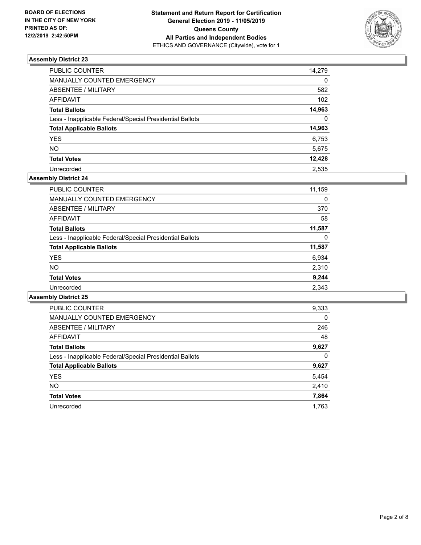

| PUBLIC COUNTER                                           | 14,279           |
|----------------------------------------------------------|------------------|
| MANUALLY COUNTED EMERGENCY                               | 0                |
| <b>ABSENTEE / MILITARY</b>                               | 582              |
| <b>AFFIDAVIT</b>                                         | 102 <sub>2</sub> |
| <b>Total Ballots</b>                                     | 14,963           |
| Less - Inapplicable Federal/Special Presidential Ballots | $\Omega$         |
| <b>Total Applicable Ballots</b>                          | 14,963           |
| <b>YES</b>                                               | 6,753            |
| <b>NO</b>                                                | 5,675            |
| <b>Total Votes</b>                                       | 12,428           |
| Unrecorded                                               | 2.535            |

## **Assembly District 24**

| <b>PUBLIC COUNTER</b>                                    | 11,159 |
|----------------------------------------------------------|--------|
| <b>MANUALLY COUNTED EMERGENCY</b>                        | 0      |
| ABSENTEE / MILITARY                                      | 370    |
| AFFIDAVIT                                                | 58     |
| <b>Total Ballots</b>                                     | 11,587 |
| Less - Inapplicable Federal/Special Presidential Ballots | 0      |
| <b>Total Applicable Ballots</b>                          | 11,587 |
| <b>YES</b>                                               | 6,934  |
| <b>NO</b>                                                | 2,310  |
| <b>Total Votes</b>                                       | 9,244  |
| Unrecorded                                               | 2.343  |

| <b>PUBLIC COUNTER</b>                                    | 9,333    |
|----------------------------------------------------------|----------|
| <b>MANUALLY COUNTED EMERGENCY</b>                        | $\Omega$ |
| ABSENTEE / MILITARY                                      | 246      |
| <b>AFFIDAVIT</b>                                         | 48       |
| <b>Total Ballots</b>                                     | 9,627    |
| Less - Inapplicable Federal/Special Presidential Ballots | 0        |
| <b>Total Applicable Ballots</b>                          | 9,627    |
| <b>YES</b>                                               | 5,454    |
| NO.                                                      | 2,410    |
| <b>Total Votes</b>                                       | 7,864    |
| Unrecorded                                               | 1.763    |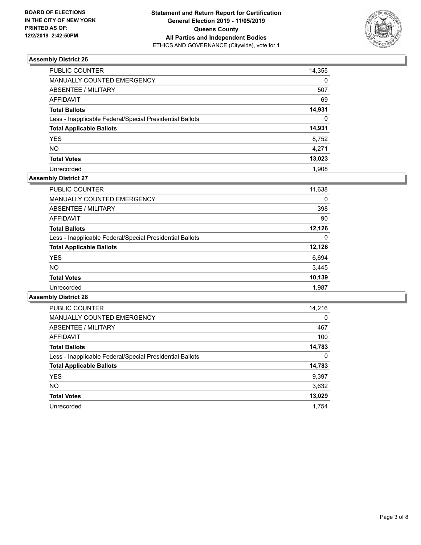

| PUBLIC COUNTER                                           | 14,355   |
|----------------------------------------------------------|----------|
| MANUALLY COUNTED EMERGENCY                               | $\Omega$ |
| <b>ABSENTEE / MILITARY</b>                               | 507      |
| <b>AFFIDAVIT</b>                                         | 69       |
| <b>Total Ballots</b>                                     | 14,931   |
| Less - Inapplicable Federal/Special Presidential Ballots | $\Omega$ |
| <b>Total Applicable Ballots</b>                          | 14,931   |
| <b>YES</b>                                               | 8,752    |
| <b>NO</b>                                                | 4,271    |
| <b>Total Votes</b>                                       | 13,023   |
| Unrecorded                                               | 1.908    |

#### **Assembly District 27**

| <b>PUBLIC COUNTER</b>                                    | 11,638 |
|----------------------------------------------------------|--------|
| <b>MANUALLY COUNTED EMERGENCY</b>                        | 0      |
| ABSENTEE / MILITARY                                      | 398    |
| AFFIDAVIT                                                | 90     |
| <b>Total Ballots</b>                                     | 12.126 |
| Less - Inapplicable Federal/Special Presidential Ballots | 0      |
| <b>Total Applicable Ballots</b>                          | 12,126 |
| <b>YES</b>                                               | 6,694  |
| NO.                                                      | 3,445  |
| <b>Total Votes</b>                                       | 10,139 |
| Unrecorded                                               | 1.987  |

| <b>PUBLIC COUNTER</b>                                    | 14,216   |
|----------------------------------------------------------|----------|
| <b>MANUALLY COUNTED EMERGENCY</b>                        | $\Omega$ |
| ABSENTEE / MILITARY                                      | 467      |
| <b>AFFIDAVIT</b>                                         | 100      |
| <b>Total Ballots</b>                                     | 14,783   |
| Less - Inapplicable Federal/Special Presidential Ballots | 0        |
| <b>Total Applicable Ballots</b>                          | 14,783   |
| <b>YES</b>                                               | 9,397    |
| <b>NO</b>                                                | 3,632    |
| <b>Total Votes</b>                                       | 13,029   |
| Unrecorded                                               | 1,754    |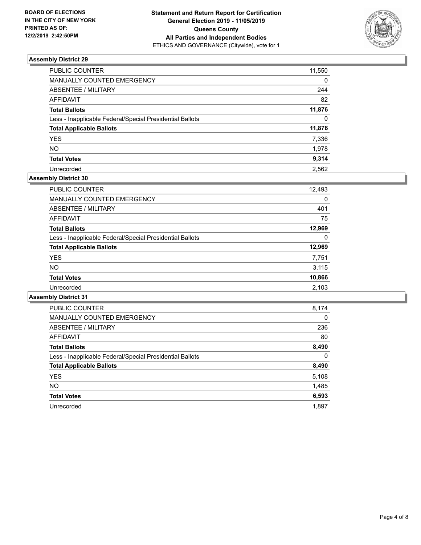

| PUBLIC COUNTER                                           | 11,550   |
|----------------------------------------------------------|----------|
| MANUALLY COUNTED EMERGENCY                               | $\Omega$ |
| <b>ABSENTEE / MILITARY</b>                               | 244      |
| <b>AFFIDAVIT</b>                                         | 82       |
| <b>Total Ballots</b>                                     | 11,876   |
| Less - Inapplicable Federal/Special Presidential Ballots | $\Omega$ |
| <b>Total Applicable Ballots</b>                          | 11,876   |
| <b>YES</b>                                               | 7,336    |
| <b>NO</b>                                                | 1,978    |
| <b>Total Votes</b>                                       | 9,314    |
| Unrecorded                                               | 2.562    |

## **Assembly District 30**

| <b>PUBLIC COUNTER</b>                                    | 12,493 |
|----------------------------------------------------------|--------|
| <b>MANUALLY COUNTED EMERGENCY</b>                        | 0      |
| ABSENTEE / MILITARY                                      | 401    |
| AFFIDAVIT                                                | 75     |
| <b>Total Ballots</b>                                     | 12,969 |
| Less - Inapplicable Federal/Special Presidential Ballots | 0      |
| <b>Total Applicable Ballots</b>                          | 12,969 |
| <b>YES</b>                                               | 7,751  |
| NO.                                                      | 3.115  |
| <b>Total Votes</b>                                       | 10,866 |
| Unrecorded                                               | 2,103  |

| <b>PUBLIC COUNTER</b>                                    | 8,174    |
|----------------------------------------------------------|----------|
| <b>MANUALLY COUNTED EMERGENCY</b>                        | $\Omega$ |
| ABSENTEE / MILITARY                                      | 236      |
| AFFIDAVIT                                                | 80       |
| <b>Total Ballots</b>                                     | 8,490    |
| Less - Inapplicable Federal/Special Presidential Ballots | 0        |
| <b>Total Applicable Ballots</b>                          | 8,490    |
| <b>YES</b>                                               | 5,108    |
| NO.                                                      | 1,485    |
| <b>Total Votes</b>                                       | 6,593    |
| Unrecorded                                               | 1.897    |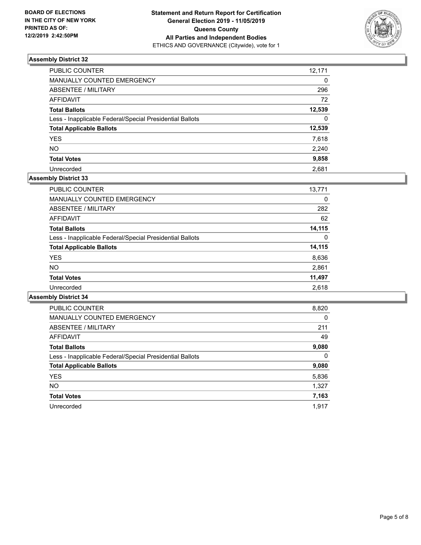

| PUBLIC COUNTER                                           | 12,171   |
|----------------------------------------------------------|----------|
| MANUALLY COUNTED EMERGENCY                               | 0        |
| <b>ABSENTEE / MILITARY</b>                               | 296      |
| <b>AFFIDAVIT</b>                                         | 72       |
| <b>Total Ballots</b>                                     | 12,539   |
| Less - Inapplicable Federal/Special Presidential Ballots | $\Omega$ |
| <b>Total Applicable Ballots</b>                          | 12,539   |
| <b>YES</b>                                               | 7,618    |
| <b>NO</b>                                                | 2,240    |
| <b>Total Votes</b>                                       | 9,858    |
| Unrecorded                                               | 2.681    |

## **Assembly District 33**

| <b>PUBLIC COUNTER</b>                                    | 13,771 |
|----------------------------------------------------------|--------|
| <b>MANUALLY COUNTED EMERGENCY</b>                        | 0      |
| ABSENTEE / MILITARY                                      | 282    |
| AFFIDAVIT                                                | 62     |
| <b>Total Ballots</b>                                     | 14,115 |
| Less - Inapplicable Federal/Special Presidential Ballots | 0      |
| <b>Total Applicable Ballots</b>                          | 14,115 |
| <b>YES</b>                                               | 8,636  |
| NO.                                                      | 2,861  |
| <b>Total Votes</b>                                       | 11,497 |
| Unrecorded                                               | 2.618  |

| <b>PUBLIC COUNTER</b>                                    | 8,820    |
|----------------------------------------------------------|----------|
| <b>MANUALLY COUNTED EMERGENCY</b>                        | $\Omega$ |
| ABSENTEE / MILITARY                                      | 211      |
| AFFIDAVIT                                                | 49       |
| <b>Total Ballots</b>                                     | 9,080    |
| Less - Inapplicable Federal/Special Presidential Ballots | $\Omega$ |
| <b>Total Applicable Ballots</b>                          | 9,080    |
| <b>YES</b>                                               | 5,836    |
| <b>NO</b>                                                | 1,327    |
| <b>Total Votes</b>                                       | 7,163    |
| Unrecorded                                               | 1.917    |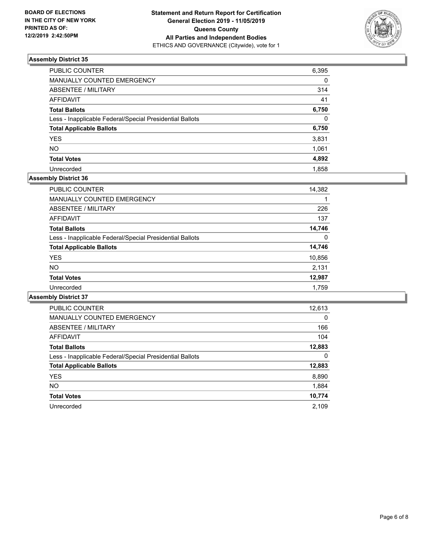

| PUBLIC COUNTER                                           | 6,395    |
|----------------------------------------------------------|----------|
| MANUALLY COUNTED EMERGENCY                               | $\Omega$ |
| ABSENTEE / MILITARY                                      | 314      |
| <b>AFFIDAVIT</b>                                         | 41       |
| <b>Total Ballots</b>                                     | 6,750    |
| Less - Inapplicable Federal/Special Presidential Ballots | $\Omega$ |
| <b>Total Applicable Ballots</b>                          | 6,750    |
| <b>YES</b>                                               | 3,831    |
| <b>NO</b>                                                | 1,061    |
| <b>Total Votes</b>                                       | 4,892    |
| Unrecorded                                               | 1.858    |

## **Assembly District 36**

| <b>PUBLIC COUNTER</b>                                    | 14,382 |
|----------------------------------------------------------|--------|
| <b>MANUALLY COUNTED EMERGENCY</b>                        | 1      |
| ABSENTEE / MILITARY                                      | 226    |
| AFFIDAVIT                                                | 137    |
| <b>Total Ballots</b>                                     | 14,746 |
| Less - Inapplicable Federal/Special Presidential Ballots | 0      |
| <b>Total Applicable Ballots</b>                          | 14,746 |
| <b>YES</b>                                               | 10,856 |
| NO.                                                      | 2,131  |
| <b>Total Votes</b>                                       | 12,987 |
| Unrecorded                                               | 1.759  |

| <b>PUBLIC COUNTER</b>                                    | 12,613   |
|----------------------------------------------------------|----------|
| <b>MANUALLY COUNTED EMERGENCY</b>                        | $\Omega$ |
| ABSENTEE / MILITARY                                      | 166      |
| <b>AFFIDAVIT</b>                                         | 104      |
| <b>Total Ballots</b>                                     | 12,883   |
| Less - Inapplicable Federal/Special Presidential Ballots | 0        |
| <b>Total Applicable Ballots</b>                          | 12,883   |
| <b>YES</b>                                               | 8,890    |
| NO.                                                      | 1,884    |
| <b>Total Votes</b>                                       | 10,774   |
| Unrecorded                                               | 2.109    |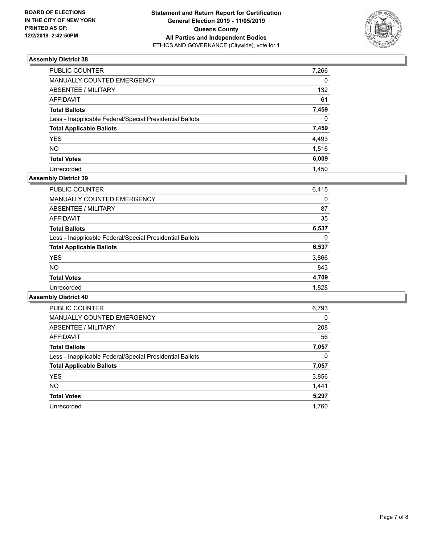

| PUBLIC COUNTER                                           | 7,266    |
|----------------------------------------------------------|----------|
| MANUALLY COUNTED EMERGENCY                               | $\Omega$ |
| <b>ABSENTEE / MILITARY</b>                               | 132      |
| <b>AFFIDAVIT</b>                                         | 61       |
| <b>Total Ballots</b>                                     | 7,459    |
| Less - Inapplicable Federal/Special Presidential Ballots | $\Omega$ |
| <b>Total Applicable Ballots</b>                          | 7,459    |
| <b>YES</b>                                               | 4,493    |
| <b>NO</b>                                                | 1,516    |
| <b>Total Votes</b>                                       | 6,009    |
| Unrecorded                                               | 1.450    |

## **Assembly District 39**

| <b>PUBLIC COUNTER</b>                                    | 6,415 |
|----------------------------------------------------------|-------|
| <b>MANUALLY COUNTED EMERGENCY</b>                        | 0     |
| ABSENTEE / MILITARY                                      | 87    |
| AFFIDAVIT                                                | 35    |
| <b>Total Ballots</b>                                     | 6,537 |
| Less - Inapplicable Federal/Special Presidential Ballots | 0     |
| <b>Total Applicable Ballots</b>                          | 6,537 |
| <b>YES</b>                                               | 3,866 |
| <b>NO</b>                                                | 843   |
| <b>Total Votes</b>                                       | 4,709 |
| Unrecorded                                               | 1,828 |

| <b>PUBLIC COUNTER</b>                                    | 6,793    |
|----------------------------------------------------------|----------|
| <b>MANUALLY COUNTED EMERGENCY</b>                        | $\Omega$ |
| ABSENTEE / MILITARY                                      | 208      |
| <b>AFFIDAVIT</b>                                         | 56       |
| <b>Total Ballots</b>                                     | 7,057    |
| Less - Inapplicable Federal/Special Presidential Ballots | 0        |
| <b>Total Applicable Ballots</b>                          | 7,057    |
| <b>YES</b>                                               | 3,856    |
| <b>NO</b>                                                | 1,441    |
| <b>Total Votes</b>                                       | 5,297    |
| Unrecorded                                               | 1.760    |